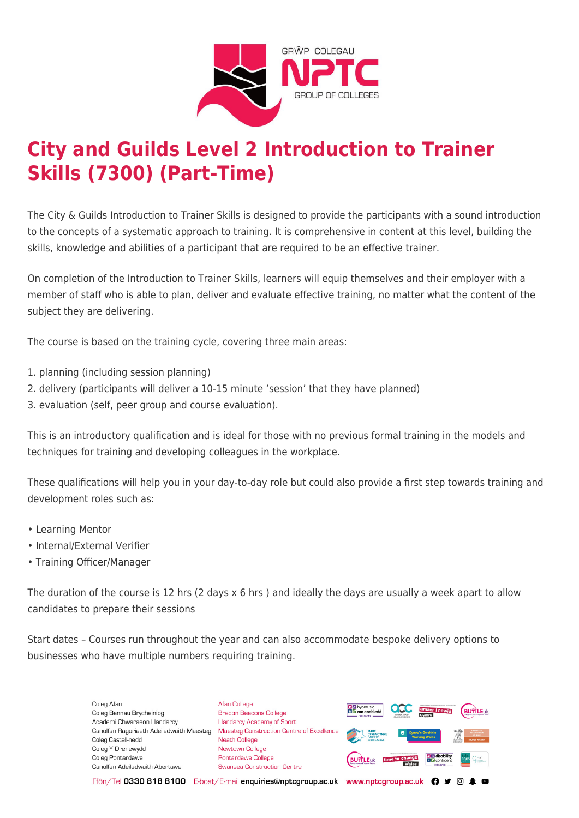

# **City and Guilds Level 2 Introduction to Trainer Skills (7300) (Part-Time)**

The City & Guilds Introduction to Trainer Skills is designed to provide the participants with a sound introduction to the concepts of a systematic approach to training. It is comprehensive in content at this level, building the skills, knowledge and abilities of a participant that are required to be an effective trainer.

On completion of the Introduction to Trainer Skills, learners will equip themselves and their employer with a member of staff who is able to plan, deliver and evaluate effective training, no matter what the content of the subject they are delivering.

The course is based on the training cycle, covering three main areas:

- 1. planning (including session planning)
- 2. delivery (participants will deliver a 10-15 minute 'session' that they have planned)
- 3. evaluation (self, peer group and course evaluation).

This is an introductory qualification and is ideal for those with no previous formal training in the models and techniques for training and developing colleagues in the workplace.

These qualifications will help you in your day-to-day role but could also provide a first step towards training and development roles such as:

- Learning Mentor
- Internal/External Verifier
- Training Officer/Manager

The duration of the course is 12 hrs (2 days x 6 hrs ) and ideally the days are usually a week apart to allow candidates to prepare their sessions

Start dates – Courses run throughout the year and can also accommodate bespoke delivery options to businesses who have multiple numbers requiring training.

> Coleg Afar Coleg Bannau Brycheiniog Academi Chwaraeon Llandarcy Canolfan Ragoriaeth Adeiladwaith Maesteg Coleg Castell-nedd Coleg Y Drenewydd Coleg Pontardawe Canolfan Adeiladwaith Abertawe

**Afan College** Brecon Beacons College **Llandarcy Academy of Sport** Maesteg Construction Centre of Excellence Neath College Newtown College Pontardawe College Swansea Construction Centre



Ffôn/Tel 0330 818 8100 E-bost/E-mail enquiries@nptcgroup.ac.uk www.nptcgroup.ac.uk ? • © \$